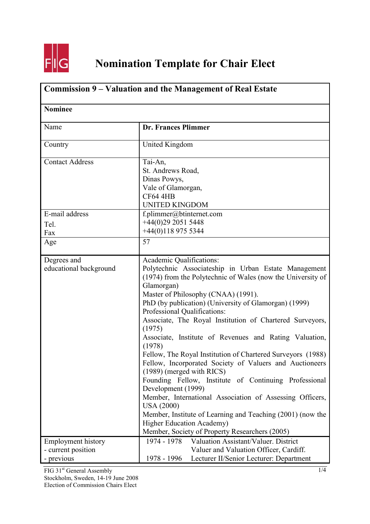

| Commission 9 – Valuation and the Management of Real Estate<br><b>Nominee</b> |                                                                                                                                                                                                                                                                                                                                                                                                                                                                                                                                                                                                                                                                                                                                                                                                                                                                                                                      |  |
|------------------------------------------------------------------------------|----------------------------------------------------------------------------------------------------------------------------------------------------------------------------------------------------------------------------------------------------------------------------------------------------------------------------------------------------------------------------------------------------------------------------------------------------------------------------------------------------------------------------------------------------------------------------------------------------------------------------------------------------------------------------------------------------------------------------------------------------------------------------------------------------------------------------------------------------------------------------------------------------------------------|--|
|                                                                              |                                                                                                                                                                                                                                                                                                                                                                                                                                                                                                                                                                                                                                                                                                                                                                                                                                                                                                                      |  |
| Country                                                                      | United Kingdom                                                                                                                                                                                                                                                                                                                                                                                                                                                                                                                                                                                                                                                                                                                                                                                                                                                                                                       |  |
| <b>Contact Address</b>                                                       | Tai-An,<br>St. Andrews Road,<br>Dinas Powys,<br>Vale of Glamorgan,<br><b>CF64 4HB</b><br><b>UNITED KINGDOM</b>                                                                                                                                                                                                                                                                                                                                                                                                                                                                                                                                                                                                                                                                                                                                                                                                       |  |
| E-mail address<br>Tel.<br>Fax                                                | f.plimmer@btinternet.com<br>$+44(0)2920515448$<br>$+44(0)1189755344$                                                                                                                                                                                                                                                                                                                                                                                                                                                                                                                                                                                                                                                                                                                                                                                                                                                 |  |
| Age                                                                          | 57                                                                                                                                                                                                                                                                                                                                                                                                                                                                                                                                                                                                                                                                                                                                                                                                                                                                                                                   |  |
| Degrees and<br>educational background                                        | Academic Qualifications:<br>Polytechnic Associateship in Urban Estate Management<br>(1974) from the Polytechnic of Wales (now the University of<br>Glamorgan)<br>Master of Philosophy (CNAA) (1991).<br>PhD (by publication) (University of Glamorgan) (1999)<br>Professional Qualifications:<br>Associate, The Royal Institution of Chartered Surveyors,<br>(1975)<br>Associate, Institute of Revenues and Rating Valuation,<br>(1978)<br>Fellow, The Royal Institution of Chartered Surveyors (1988)<br>Fellow, Incorporated Society of Valuers and Auctioneers<br>$(1989)$ (merged with RICS)<br>Founding Fellow, Institute of Continuing Professional<br>Development (1999)<br>Member, International Association of Assessing Officers,<br><b>USA (2000)</b><br>Member, Institute of Learning and Teaching (2001) (now the<br><b>Higher Education Academy)</b><br>Member, Society of Property Researchers (2005) |  |
| <b>Employment history</b><br>- current position<br>- previous                | 1974 - 1978<br>Valuation Assistant/Valuer. District<br>Valuer and Valuation Officer, Cardiff.<br>Lecturer II/Senior Lecturer: Department<br>1978 - 1996                                                                                                                                                                                                                                                                                                                                                                                                                                                                                                                                                                                                                                                                                                                                                              |  |

FIG 31<sup>st</sup> General Assembly Stockholm, Sweden, 14-19 June 2008 Election of Commission Chairs Elect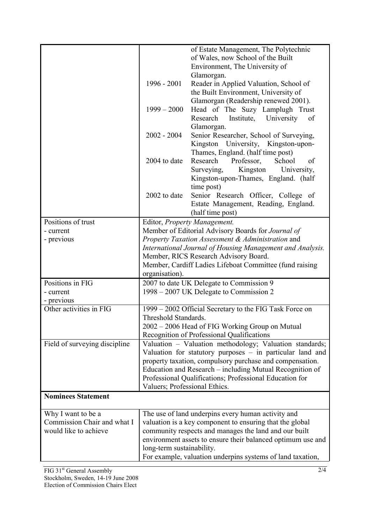|                               |                               | of Estate Management, The Polytechnic                       |
|-------------------------------|-------------------------------|-------------------------------------------------------------|
|                               |                               |                                                             |
|                               |                               | of Wales, now School of the Built                           |
|                               |                               | Environment, The University of                              |
|                               |                               | Glamorgan.                                                  |
|                               | 1996 - 2001                   | Reader in Applied Valuation, School of                      |
|                               |                               | the Built Environment, University of                        |
|                               |                               | Glamorgan (Readership renewed 2001).                        |
|                               | $1999 - 2000$                 | Head of The Suzy Lamplugh Trust                             |
|                               |                               | University<br>Research<br>Institute,<br>of                  |
|                               |                               | Glamorgan.                                                  |
|                               | $2002 - 2004$                 | Senior Researcher, School of Surveying,                     |
|                               |                               | Kingston University, Kingston-upon-                         |
|                               |                               | Thames, England. (half time post)                           |
|                               | 2004 to date                  | Research<br>Professor,<br>School<br>of                      |
|                               |                               | Kingston<br>University,<br>Surveying,                       |
|                               |                               | Kingston-upon-Thames, England. (half                        |
|                               |                               | time post)                                                  |
|                               | 2002 to date                  | Senior Research Officer, College of                         |
|                               |                               | Estate Management, Reading, England.                        |
|                               |                               | (half time post)                                            |
|                               |                               |                                                             |
| Positions of trust            |                               | Editor, Property Management.                                |
| - current                     |                               | Member of Editorial Advisory Boards for Journal of          |
| - previous                    |                               | Property Taxation Assessment & Administration and           |
|                               |                               | International Journal of Housing Management and Analysis.   |
|                               |                               | Member, RICS Research Advisory Board.                       |
|                               |                               | Member, Cardiff Ladies Lifeboat Committee (fund raising     |
|                               | organisation).                |                                                             |
| Positions in FIG              |                               | 2007 to date UK Delegate to Commission 9                    |
| - current                     |                               | 1998 – 2007 UK Delegate to Commission 2                     |
| - previous                    |                               |                                                             |
| Other activities in FIG       |                               | 1999 - 2002 Official Secretary to the FIG Task Force on     |
|                               | Threshold Standards.          |                                                             |
|                               |                               | 2002 – 2006 Head of FIG Working Group on Mutual             |
|                               |                               | Recognition of Professional Qualifications                  |
| Field of surveying discipline |                               | Valuation - Valuation methodology; Valuation standards;     |
|                               |                               | Valuation for statutory purposes $-$ in particular land and |
|                               |                               | property taxation, compulsory purchase and compensation.    |
|                               |                               | Education and Research – including Mutual Recognition of    |
|                               |                               | Professional Qualifications; Professional Education for     |
|                               | Valuers; Professional Ethics. |                                                             |
| <b>Nominees Statement</b>     |                               |                                                             |
|                               |                               |                                                             |
| Why I want to be a            |                               | The use of land underpins every human activity and          |
| Commission Chair and what I   |                               | valuation is a key component to ensuring that the global    |
| would like to achieve         |                               | community respects and manages the land and our built       |
|                               |                               | environment assets to ensure their balanced optimum use and |
|                               | long-term sustainability.     |                                                             |
|                               |                               | For example, valuation underpins systems of land taxation,  |
|                               |                               |                                                             |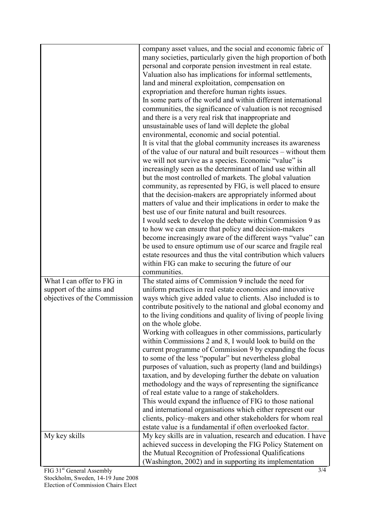|                              | company asset values, and the social and economic fabric of                                                             |
|------------------------------|-------------------------------------------------------------------------------------------------------------------------|
|                              | many societies, particularly given the high proportion of both                                                          |
|                              | personal and corporate pension investment in real estate.                                                               |
|                              | Valuation also has implications for informal settlements,                                                               |
|                              | land and mineral exploitation, compensation on                                                                          |
|                              | expropriation and therefore human rights issues.                                                                        |
|                              | In some parts of the world and within different international                                                           |
|                              | communities, the significance of valuation is not recognised                                                            |
|                              | and there is a very real risk that inappropriate and                                                                    |
|                              | unsustainable uses of land will deplete the global                                                                      |
|                              | environmental, economic and social potential.                                                                           |
|                              | It is vital that the global community increases its awareness                                                           |
|                              | of the value of our natural and built resources – without them<br>we will not survive as a species. Economic "value" is |
|                              | increasingly seen as the determinant of land use within all                                                             |
|                              | but the most controlled of markets. The global valuation                                                                |
|                              | community, as represented by FIG, is well placed to ensure                                                              |
|                              | that the decision-makers are appropriately informed about                                                               |
|                              | matters of value and their implications in order to make the                                                            |
|                              | best use of our finite natural and built resources.                                                                     |
|                              | I would seek to develop the debate within Commission 9 as                                                               |
|                              | to how we can ensure that policy and decision-makers                                                                    |
|                              | become increasingly aware of the different ways "value" can                                                             |
|                              | be used to ensure optimum use of our scarce and fragile real                                                            |
|                              | estate resources and thus the vital contribution which valuers                                                          |
|                              | within FIG can make to securing the future of our                                                                       |
|                              | communities.                                                                                                            |
| What I can offer to FIG in   | The stated aims of Commission 9 include the need for                                                                    |
| support of the aims and      | uniform practices in real estate economics and innovative                                                               |
| objectives of the Commission | ways which give added value to clients. Also included is to                                                             |
|                              | contribute positively to the national and global economy and                                                            |
|                              | to the living conditions and quality of living of people living                                                         |
|                              | on the whole globe.                                                                                                     |
|                              | Working with colleagues in other commissions, particularly                                                              |
|                              | within Commissions 2 and 8, I would look to build on the                                                                |
|                              | current programme of Commission 9 by expanding the focus                                                                |
|                              | to some of the less "popular" but nevertheless global                                                                   |
|                              | purposes of valuation, such as property (land and buildings)                                                            |
|                              | taxation, and by developing further the debate on valuation                                                             |
|                              | methodology and the ways of representing the significance                                                               |
|                              | of real estate value to a range of stakeholders.                                                                        |
|                              | This would expand the influence of FIG to those national                                                                |
|                              | and international organisations which either represent our                                                              |
|                              | clients, policy–makers and other stakeholders for whom real                                                             |
|                              | estate value is a fundamental if often overlooked factor.                                                               |
| My key skills                | My key skills are in valuation, research and education. I have                                                          |
|                              | achieved success in developing the FIG Policy Statement on                                                              |
|                              | the Mutual Recognition of Professional Qualifications                                                                   |
|                              | (Washington, 2002) and in supporting its implementation                                                                 |